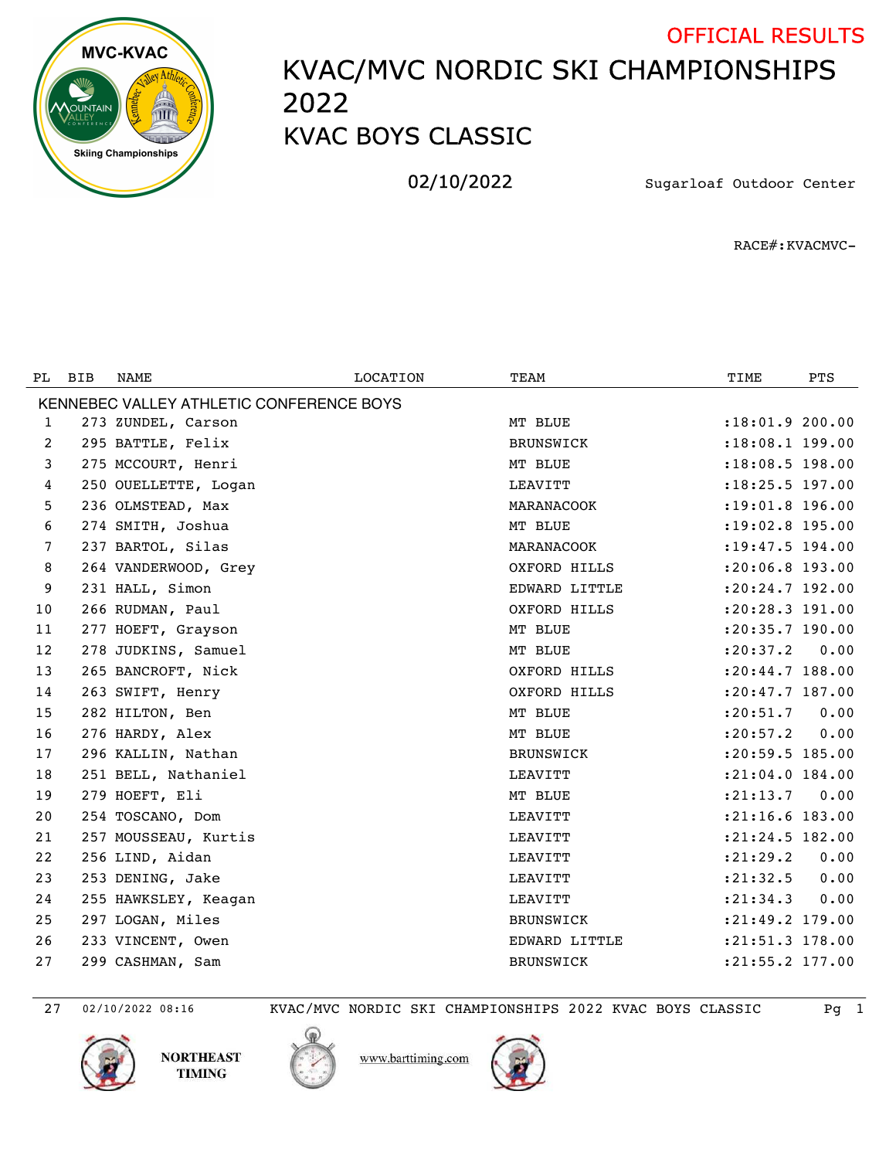

## KVAC/MVC NORDIC SKI CHAMPIONSHIPS KVAC BOYS CLASSIC OFFICIAL RESULTS

02/10/2022 Sugarloaf Outdoor Center

RACE#:KVACMVC-

| PL.                                      | <b>BIB</b> | NAME                 | LOCATION | TEAM             | TIME                | <b>PTS</b> |  |
|------------------------------------------|------------|----------------------|----------|------------------|---------------------|------------|--|
| KENNEBEC VALLEY ATHLETIC CONFERENCE BOYS |            |                      |          |                  |                     |            |  |
| 1                                        |            | 273 ZUNDEL, Carson   |          | MT BLUE          | $: 18:01.9$ 200.00  |            |  |
| 2                                        |            | 295 BATTLE, Felix    |          | <b>BRUNSWICK</b> | :18:08.1 199.00     |            |  |
| 3                                        |            | 275 MCCOURT, Henri   |          | MT BLUE          | :18:08.5 198.00     |            |  |
| 4                                        |            | 250 OUELLETTE, Logan |          | LEAVITT          | :18:25.5 197.00     |            |  |
| 5                                        |            | 236 OLMSTEAD, Max    |          | MARANACOOK       | :19:01.8 196.00     |            |  |
| 6                                        |            | 274 SMITH, Joshua    |          | MT BLUE          | :19:02.8 195.00     |            |  |
| 7                                        |            | 237 BARTOL, Silas    |          | MARANACOOK       | $: 19: 47.5$ 194.00 |            |  |
| 8                                        |            | 264 VANDERWOOD, Grey |          | OXFORD HILLS     | $: 20:06.8$ 193.00  |            |  |
| 9                                        |            | 231 HALL, Simon      |          | EDWARD LITTLE    | $: 20:24.7$ 192.00  |            |  |
| 10                                       |            | 266 RUDMAN, Paul     |          | OXFORD HILLS     | :20:28.3 191.00     |            |  |
| 11                                       |            | 277 HOEFT, Grayson   |          | MT BLUE          | $: 20: 35.7$ 190.00 |            |  |
| 12                                       |            | 278 JUDKINS, Samuel  |          | MT BLUE          | : 20: 37.2          | 0.00       |  |
| 13                                       |            | 265 BANCROFT, Nick   |          | OXFORD HILLS     | $: 20: 44.7$ 188.00 |            |  |
| 14                                       |            | 263 SWIFT, Henry     |          | OXFORD HILLS     | :20:47.7 187.00     |            |  |
| 15                                       |            | 282 HILTON, Ben      |          | MT BLUE          | : 20: 51.7          | 0.00       |  |
| 16                                       |            | 276 HARDY, Alex      |          | MT BLUE          | : 20: 57.2          | 0.00       |  |
| 17                                       |            | 296 KALLIN, Nathan   |          | BRUNSWICK        | $: 20:59.5$ 185.00  |            |  |
| 18                                       |            | 251 BELL, Nathaniel  |          | LEAVITT          | $: 21:04.0$ 184.00  |            |  |
| 19                                       |            | 279 HOEFT, Eli       |          | MT BLUE          | : 21: 13.7          | 0.00       |  |
| 20                                       |            | 254 TOSCANO, Dom     |          | LEAVITT          | :21:16.6 183.00     |            |  |
| 21                                       |            | 257 MOUSSEAU, Kurtis |          | LEAVITT          | :21:24.5 182.00     |            |  |
| 22                                       |            | 256 LIND, Aidan      |          | LEAVITT          | : 21: 29.2          | 0.00       |  |
| 23                                       |            | 253 DENING, Jake     |          | LEAVITT          | : 21: 32.5          | 0.00       |  |
| 24                                       |            | 255 HAWKSLEY, Keagan |          | LEAVITT          | : 21: 34.3          | 0.00       |  |
| 25                                       |            | 297 LOGAN, Miles     |          | <b>BRUNSWICK</b> | : 21: 49.2 179.00   |            |  |
| 26                                       |            | 233 VINCENT, Owen    |          | EDWARD LITTLE    | :21:51.3 178.00     |            |  |
| 27                                       |            | 299 CASHMAN, Sam     |          | <b>BRUNSWICK</b> | :21:55.2 177.00     |            |  |

02/10/2022 08:16 KVAC/MVC NORDIC SKI CHAMPIONSHIPS 2022 KVAC BOYS CLASSIC Pg 1





www.barttiming.com

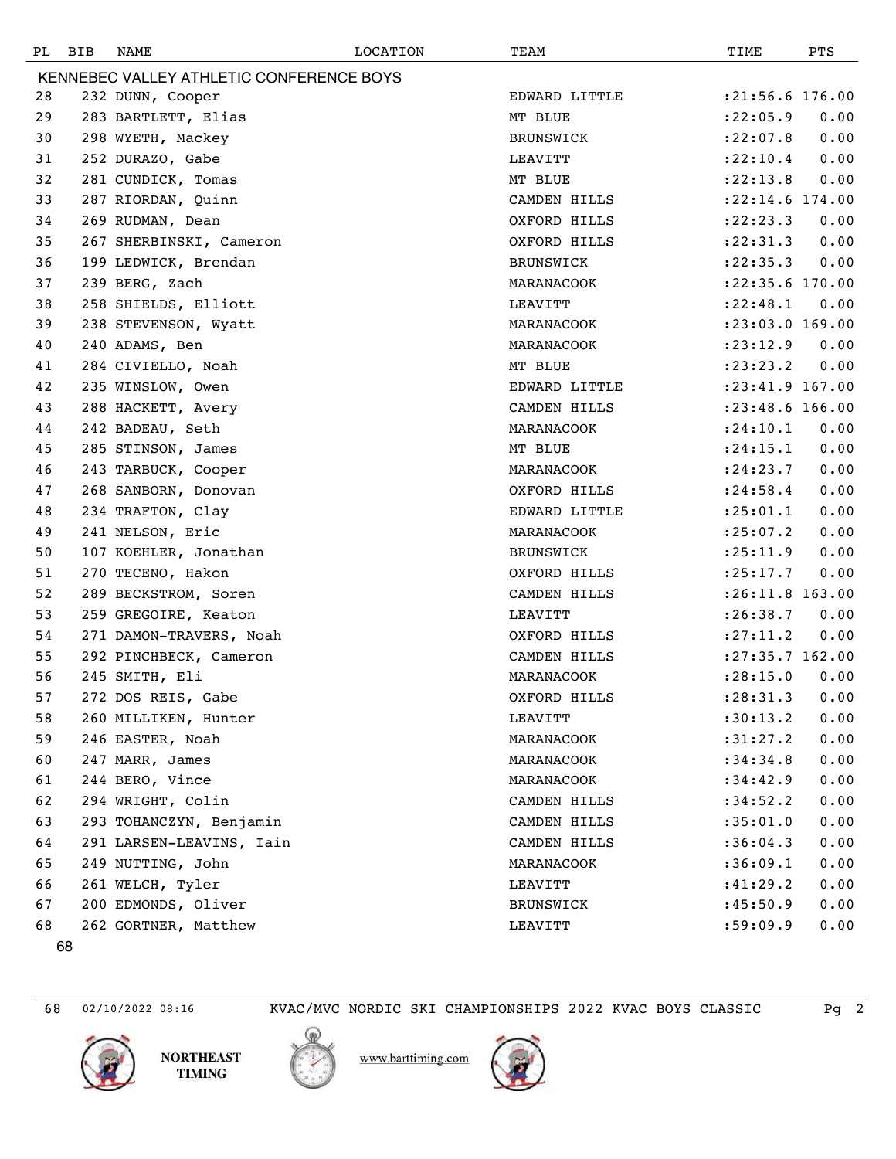| PL                                       | BIB | NAME                     | LOCATION | TEAM             | TIME                | PTS  |  |  |
|------------------------------------------|-----|--------------------------|----------|------------------|---------------------|------|--|--|
| KENNEBEC VALLEY ATHLETIC CONFERENCE BOYS |     |                          |          |                  |                     |      |  |  |
| 28                                       |     | 232 DUNN, Cooper         |          | EDWARD LITTLE    | $: 21:56.6$ 176.00  |      |  |  |
| 29                                       |     | 283 BARTLETT, Elias      |          | MT BLUE          | : 22:05.9           | 0.00 |  |  |
| 30                                       |     | 298 WYETH, Mackey        |          | BRUNSWICK        | : 22:07.8           | 0.00 |  |  |
| 31                                       |     | 252 DURAZO, Gabe         |          | LEAVITT          | : 22: 10.4          | 0.00 |  |  |
| 32                                       |     | 281 CUNDICK, Tomas       |          | MT BLUE          | : 22: 13.8          | 0.00 |  |  |
| 33                                       |     | 287 RIORDAN, Quinn       |          | CAMDEN HILLS     | $: 22:14.6$ 174.00  |      |  |  |
| 34                                       |     | 269 RUDMAN, Dean         |          | OXFORD HILLS     | : 22: 23.3          | 0.00 |  |  |
| 35                                       |     | 267 SHERBINSKI, Cameron  |          | OXFORD HILLS     | : 22: 31.3          | 0.00 |  |  |
| 36                                       |     | 199 LEDWICK, Brendan     |          | <b>BRUNSWICK</b> | : 22: 35.3          | 0.00 |  |  |
| 37                                       |     | 239 BERG, Zach           |          | MARANACOOK       | $: 22:35.6$ 170.00  |      |  |  |
| 38                                       |     | 258 SHIELDS, Elliott     |          | LEAVITT          | : 22: 48.1          | 0.00 |  |  |
| 39                                       |     | 238 STEVENSON, Wyatt     |          | MARANACOOK       | $: 23:03.0$ 169.00  |      |  |  |
| 40                                       |     | 240 ADAMS, Ben           |          | MARANACOOK       | : 23: 12.9          | 0.00 |  |  |
| 41                                       |     | 284 CIVIELLO, Noah       |          | MT BLUE          | : 23: 23.2          | 0.00 |  |  |
| 42                                       |     | 235 WINSLOW, Owen        |          | EDWARD LITTLE    | :23:41.9 167.00     |      |  |  |
| 43                                       |     | 288 HACKETT, Avery       |          | CAMDEN HILLS     | $: 23: 48.6$ 166.00 |      |  |  |
| 44                                       |     | 242 BADEAU, Seth         |          | MARANACOOK       | : 24:10.1           | 0.00 |  |  |
| 45                                       |     | 285 STINSON, James       |          | MT BLUE          | : 24:15.1           | 0.00 |  |  |
| 46                                       |     | 243 TARBUCK, Cooper      |          | MARANACOOK       | : 24: 23.7          | 0.00 |  |  |
| 47                                       |     | 268 SANBORN, Donovan     |          | OXFORD HILLS     | : 24:58.4           | 0.00 |  |  |
| 48                                       |     | 234 TRAFTON, Clay        |          | EDWARD LITTLE    | : 25: 01.1          | 0.00 |  |  |
| 49                                       |     | 241 NELSON, Eric         |          | MARANACOOK       | : 25:07.2           | 0.00 |  |  |
| 50                                       |     | 107 KOEHLER, Jonathan    |          | BRUNSWICK        | : 25: 11.9          | 0.00 |  |  |
| 51                                       |     | 270 TECENO, Hakon        |          | OXFORD HILLS     | : 25: 17.7          | 0.00 |  |  |
| 52                                       |     | 289 BECKSTROM, Soren     |          | CAMDEN HILLS     | :26:11.8 163.00     |      |  |  |
| 53                                       |     | 259 GREGOIRE, Keaton     |          | LEAVITT          | : 26:38.7           | 0.00 |  |  |
| 54                                       |     | 271 DAMON-TRAVERS, Noah  |          | OXFORD HILLS     | : 27: 11.2          | 0.00 |  |  |
| 55                                       |     | 292 PINCHBECK, Cameron   |          | CAMDEN HILLS     | :27:35.7 162.00     |      |  |  |
| 56                                       |     | 245 SMITH, Eli           |          | MARANACOOK       | : 28:15.0           | 0.00 |  |  |
| 57                                       |     | 272 DOS REIS, Gabe       |          | OXFORD HILLS     | $: 28:31.3$ 0.00    |      |  |  |
| 58                                       |     | 260 MILLIKEN, Hunter     |          | LEAVITT          | :30:13.2            | 0.00 |  |  |
| 59                                       |     | 246 EASTER, Noah         |          | MARANACOOK       | : 31: 27.2          | 0.00 |  |  |
| 60                                       |     | 247 MARR, James          |          | MARANACOOK       | :34:34.8            | 0.00 |  |  |
| 61                                       |     | 244 BERO, Vince          |          | MARANACOOK       | :34:42.9            | 0.00 |  |  |
| 62                                       |     | 294 WRIGHT, Colin        |          | CAMDEN HILLS     | :34:52.2            | 0.00 |  |  |
| 63                                       |     | 293 TOHANCZYN, Benjamin  |          | CAMDEN HILLS     | : 35:01.0           | 0.00 |  |  |
| 64                                       |     | 291 LARSEN-LEAVINS, Iain |          | CAMDEN HILLS     | :36:04.3            | 0.00 |  |  |
| 65                                       |     | 249 NUTTING, John        |          | MARANACOOK       | :36:09.1            | 0.00 |  |  |
| 66                                       |     | 261 WELCH, Tyler         |          | LEAVITT          | :41:29.2            | 0.00 |  |  |
| 67                                       |     | 200 EDMONDS, Oliver      |          | BRUNSWICK        | :45:50.9            | 0.00 |  |  |
| 68                                       |     | 262 GORTNER, Matthew     |          | LEAVITT          | :59:09.9            | 0.00 |  |  |





ℚ

www.barttiming.com